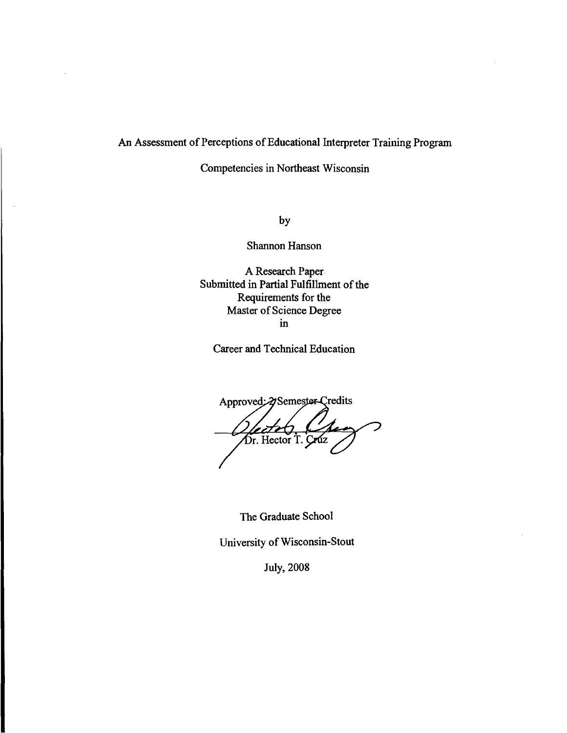# An Assessment of Perceptions of Educational Interpreter Training Program

Competencies in Northeast Wisconsin

by

Shannon Hanson

A Research Paper. Submitted in Partial Fulfillment of the Requirements for the Master of Science Degree in

Career and Technical Education

Approved: 2 Semester Credits Lectetz, Charles Composition

The Graduate School

University of Wisconsin-Stout

July, 2008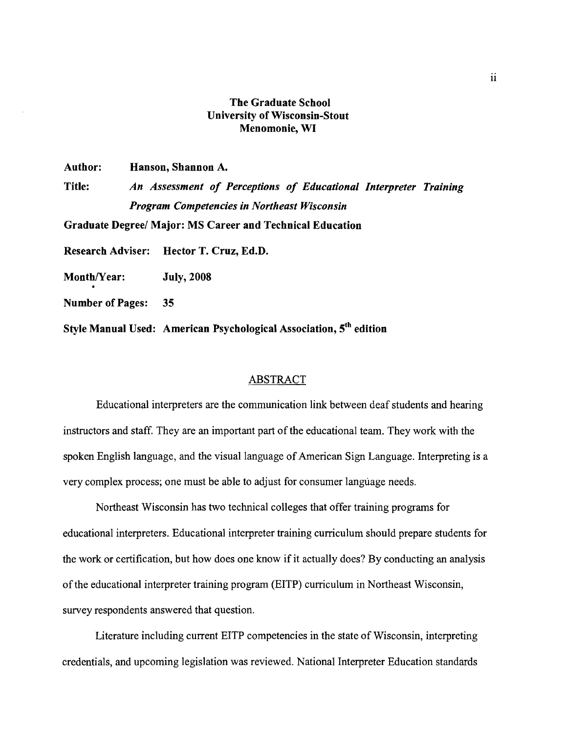# The Graduate School University of Wisconsin-Stout Menomonie, WI

Author: Hanson, Shannon A.

Title: *An Assessment of Perceptions of Educational Interpreter Training Program Competencies in Northeast Wisconsin*  Graduate Degree/ Major: MS Career and Technical Education Research Adviser: Hector T. Cruz, Ed.D. Month/Year: July, 2008 Number of Pages: 35

Style Manual Used: American Psychological Association, 5th edition

#### ABSTRACT

Educational interpreters are the communication link between deaf students and hearing instructors and staff. They are an important part of the educational team. They work with the spoken English language, and the visual language of American Sign Language. Interpreting is a very complex process; one must be able to adjust for consumer language needs.

Northeast Wisconsin has two technical colleges that offer training programs for educational interpreters. Educational interpreter training curriculum should prepare students for the work or certification, but how does one know if it actually does? By conducting an analysis of the educational interpreter training program (EITP) curriculum in Northeast Wisconsin, survey respondents answered that question.

Literature including current EITP competencies in the state of Wisconsin, interpreting credentials, and upcoming legislation was reviewed. National Interpreter Education standards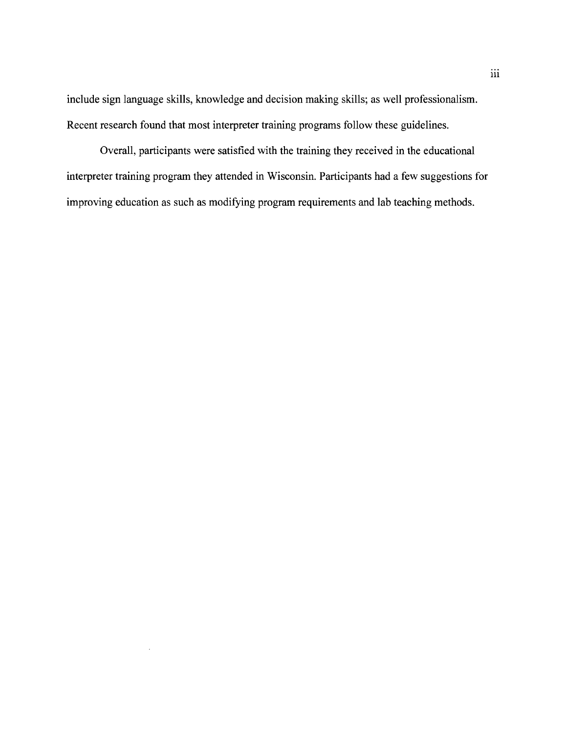include sign language skills, knowledge and decision making skills; as well professionalism. Recent research found that most interpreter training programs follow these guidelines.

Overall, participants were satisfied with the training they received in the educational interpreter training program they attended in Wisconsin. Participants had a few suggestions for improving education as such as modifying program requirements and lab teaching methods.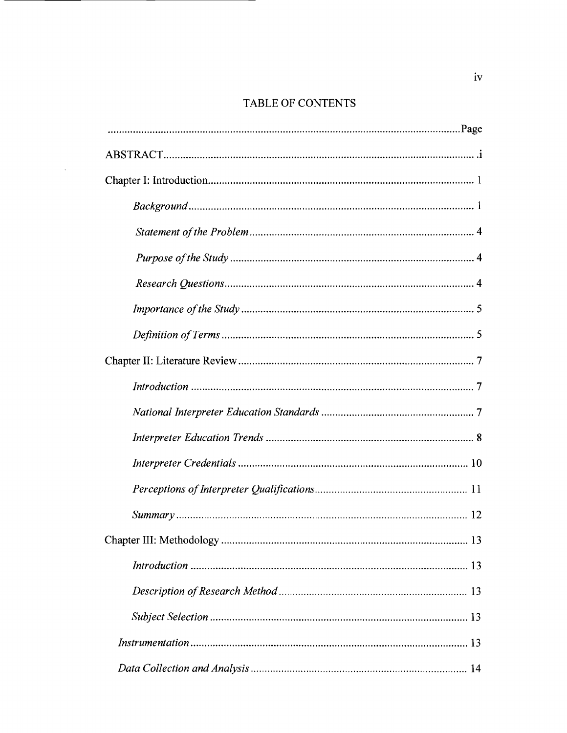# TABLE OF CONTENTS

 $\Delta \sim 10^{-11}$ 

| $Background \dots 1$ |  |  |
|----------------------|--|--|
|                      |  |  |
|                      |  |  |
|                      |  |  |
|                      |  |  |
|                      |  |  |
|                      |  |  |
|                      |  |  |
|                      |  |  |
|                      |  |  |
|                      |  |  |
|                      |  |  |
|                      |  |  |
|                      |  |  |
|                      |  |  |
|                      |  |  |
|                      |  |  |
|                      |  |  |
|                      |  |  |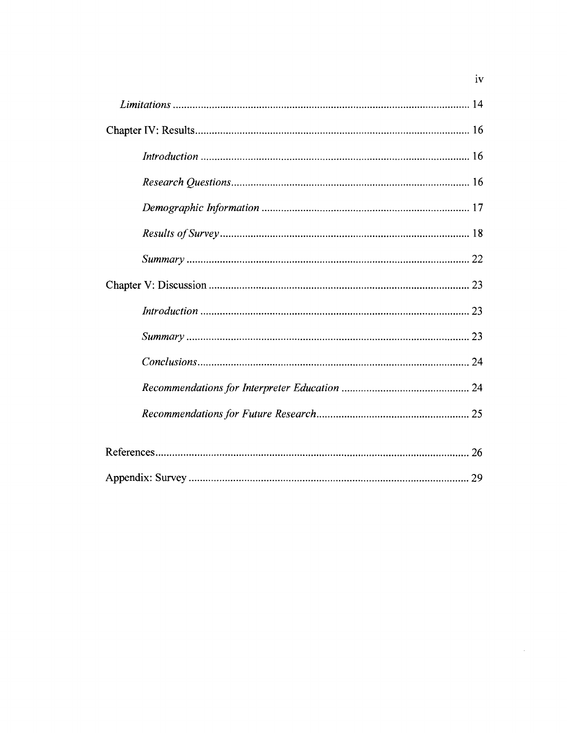| iv |  |
|----|--|
|    |  |
|    |  |
|    |  |
|    |  |
|    |  |
|    |  |
|    |  |
|    |  |
|    |  |
|    |  |
|    |  |
|    |  |
|    |  |
|    |  |
|    |  |
|    |  |

 $\label{eq:2.1} \frac{1}{\sqrt{2}}\int_{0}^{\infty}\frac{1}{\sqrt{2\pi}}\left(\frac{1}{\sqrt{2\pi}}\right)^{2}d\mu\left(\frac{1}{\sqrt{2\pi}}\right).$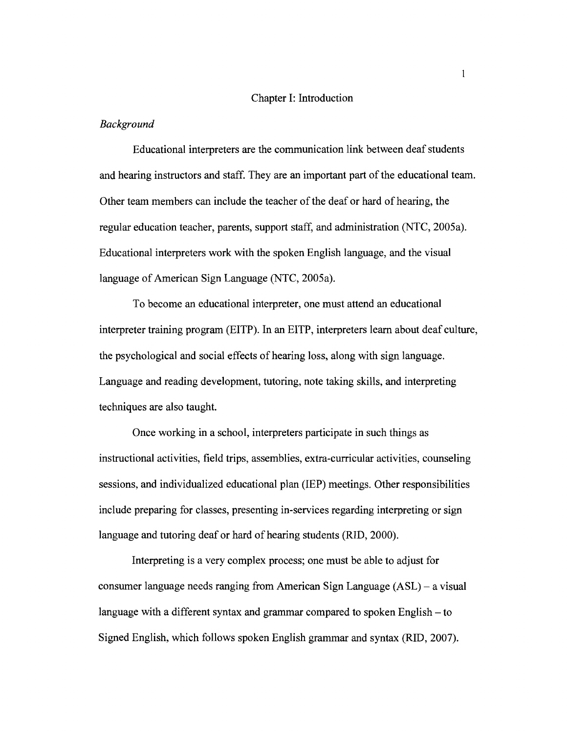#### Chapter I: Introduction

#### *Background*

Educational interpreters are the communication link between deaf students and hearing instructors and staff. They are an important part of the educational team. Other team members can include the teacher ofthe deaf or hard of hearing, the regular education teacher, parents, support staff, and administration (NTC, 2005a). Educational interpreters work with the spoken English language, and the visual language of American Sign Language (NTC, 2005a).

To become an educational interpreter, one must attend an educational interpreter training program (EITP). In an EITP, interpreters learn about deaf culture, the psychological and social effects of hearing loss, along with sign language. Language and reading development, tutoring, note taking skills, and interpreting techniques are also taught.

Once working in a school, interpreters participate in such things as instructional activities, field trips, assemblies, extra-curricular activities, counseling sessions, and individualized educational plan (IEP) meetings. Other responsibilities include preparing for classes, presenting in-services regarding interpreting or sign language and tutoring deaf or hard of hearing students (RID, 2000).

Interpreting is a very complex process; one must be able to adjust for consumer language needs ranging from American Sign Language  $(ASL)$  – a visual language with a different syntax and grammar compared to spoken English – to Signed English, which follows spoken English grammar and syntax (RID, 2007).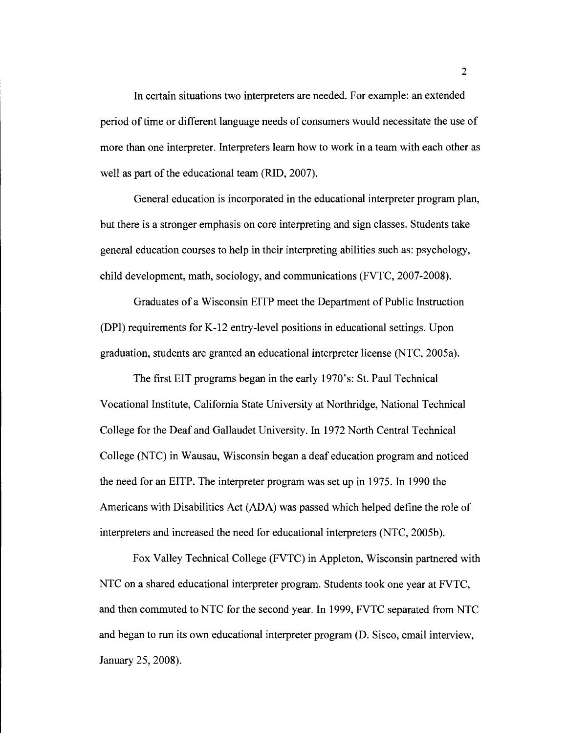In certain situations two interpreters are needed. For example: an extended period of time or different language needs of consumers would necessitate the use of more than one interpreter. Interpreters learn how to work in a team with each other as well as part of the educational team (RID, 2007).

General education is incorporated in the educational interpreter program plan, but there is a stronger emphasis on core interpreting and sign classes. Students take general education courses to help in their interpreting abilities such as: psychology, child development, math, sociology, and communications (FVTC, 2007-2008).

Graduates of a Wisconsin EITP meet the Department of Public Instruction (DPI) requirements for K-12 entry-level positions in educational settings. Upon graduation, students are granted an educational interpreter license (NTC, 2005a).

The first EIT programs began in the early 1970's: St. Paul Technical Vocational Institute, California State University at Northridge, National Technical College for the Deaf and Gallaudet University. In 1972 North Central Technical College (NTC) in Wausau, Wisconsin began a deaf education program and noticed the need for an EITP. The interpreter program was set up in 1975. In 1990 the Americans with Disabilities Act (ADA) was passed which helped define the role of interpreters and increased the need for educational interpreters (NTC, 2005b).

Fox Valley Technical College (FVTC) in Appleton, Wisconsin partnered with NTC on a shared educational interpreter program. Students took one year at FVTC, and then commuted to NTC for the second year. In 1999, FVTC separated from NTC and began to run its own educational interpreter program (D. Sisco, email interview, January 25, 2008).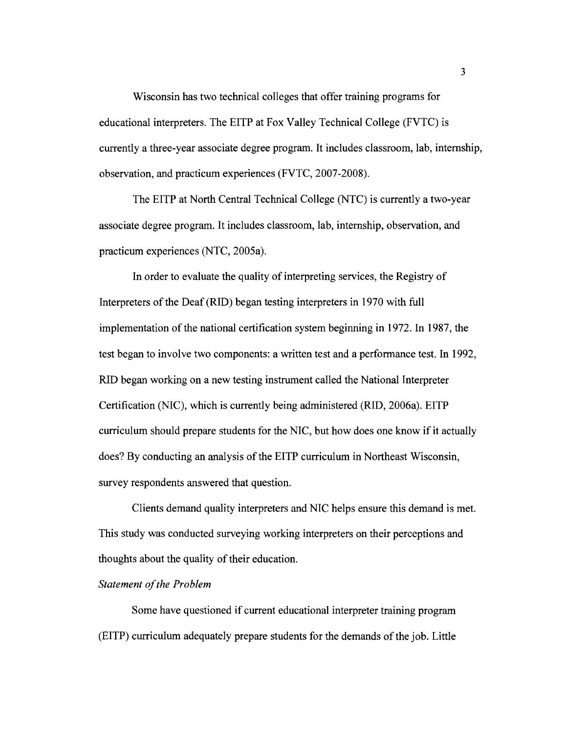Wisconsin has two technical colleges that offer training programs for educational interpreters. The EITP at Fox Valley Technical College (FVTC) is currently a three-year associate degree program. It includes classroom, lab, internship, observation, and practicum experiences (FVTC, 2007-2008).

The EITP at North Central Technical College (NTC) is currently a two-year associate degree program. It includes classroom, lab, internship, observation, and practicum experiences (NTC, 2005a).

In order to evaluate the quality of interpreting services, the Registry of Interpreters of the Deaf (RID) began testing interpreters in 1970 with full implementation of the national certification system beginning in 1972. In 1987, the test began to involve two components: a written test and a performance test. In 1992, RID began working on a new testing instrument called the National Interpreter Certification (NIC), which is currently being administered (RID, 2006a). EITP curriculum should prepare students for the NIC, but how does one know if it actually does? By conducting an analysis of the EITP curriculum in Northeast Wisconsin, survey respondents answered that question.

Clients demand quality interpreters and NIC helps ensure this demand is met. This study was conducted surveying working interpreters on their perceptions and thoughts about the quality of their education.

# **Statement of the Problem**

Some have questioned if current educational interpreter training program (EITP) curriculum adequately prepare students for the demands of the job. Little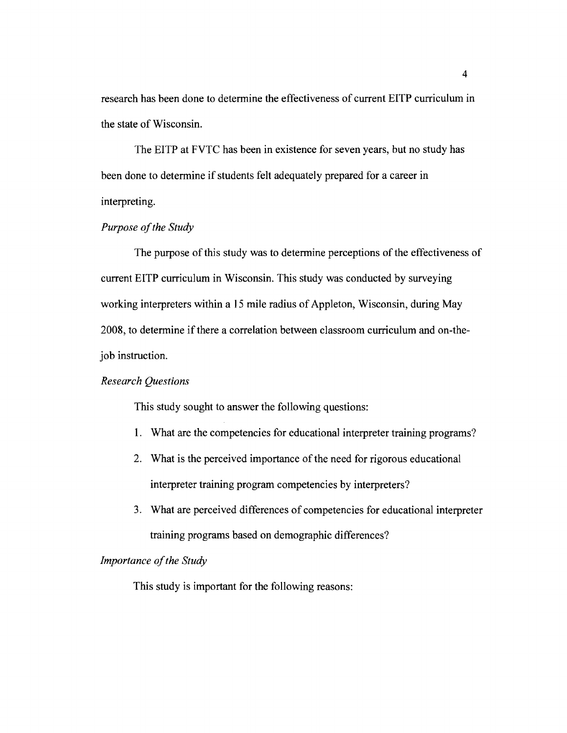research has been done to detennine the effectiveness of current EITP curriculum in the state of Wisconsin.

The EITP at FVTC has been in existence for seven years, but no study has been done to detennine if students felt adequately prepared for a career in interpreting.

# **Purpose of the Study**

The purpose of this study was to detennine perceptions of the effectiveness of current EITP curriculum in Wisconsin. This study was conducted by surveying working interpreters within a 15 mile radius of Appleton, Wisconsin, during May 2008, to detennine ifthere a correlation between classroom curriculum and on-thejob instruction.

#### *Research Questions*

This study sought to answer the following questions:

- 1. What are the competencies for educational interpreter training programs?
- 2. What is the perceived importance of the need for rigorous educational interpreter training program competencies by interpreters?
- 3. What are perceived differences of competencies for educational interpreter training programs based on demographic differences?

# *Importance of the Study*

This study is important for the following reasons: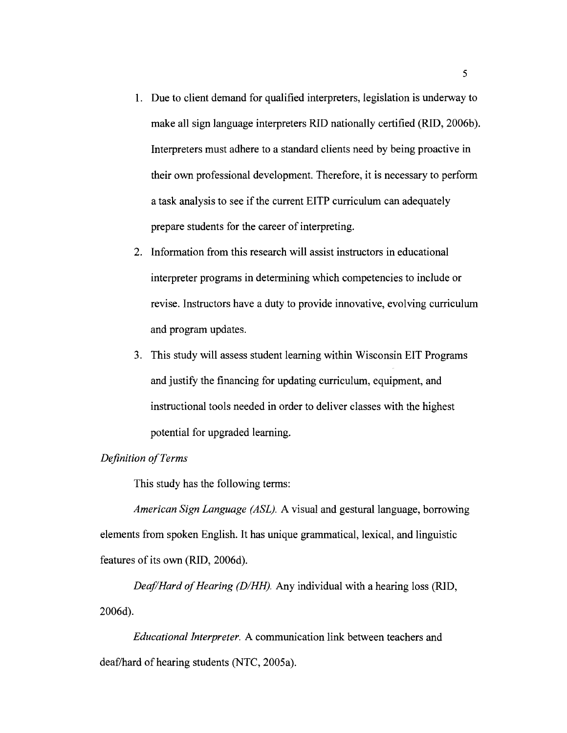- 1. Due to client demand for qualified interpreters, legislation is underway to make all sign language interpreters RID nationally certified (RID, 2006b). Interpreters must adhere to a standard clients need by being proactive in their own professional development. Therefore, it is necessary to perform a task analysis to see if the current EITP curriculum can adequately prepare students for the career of interpreting.
- 2. Information from this research will assist instructors in educational interpreter programs in determining which competencies to include or revise. Instructors have a duty to provide innovative, evolving curriculum and program updates.
- 3. This study will assess student learning within Wisconsin EIT Programs and justify the financing for updating curriculum, equipment, and instructional tools needed in order to deliver classes with the highest potential for upgraded learning.

# *Definition ofTerms*

This study has the following terms:

*American Sign Language (ASL).* A visual and gestural language, borrowing elements from spoken English. It has unique grammatical, lexical, and linguistic features of its own (RID, 2006d).

*Deaf/Hard of Hearing (D/HH).* Any individual with a hearing loss (RID, 2006d).

*Educational Interpreter.* A communication link between teachers and deaf/hard of hearing students (NTC, 2005a).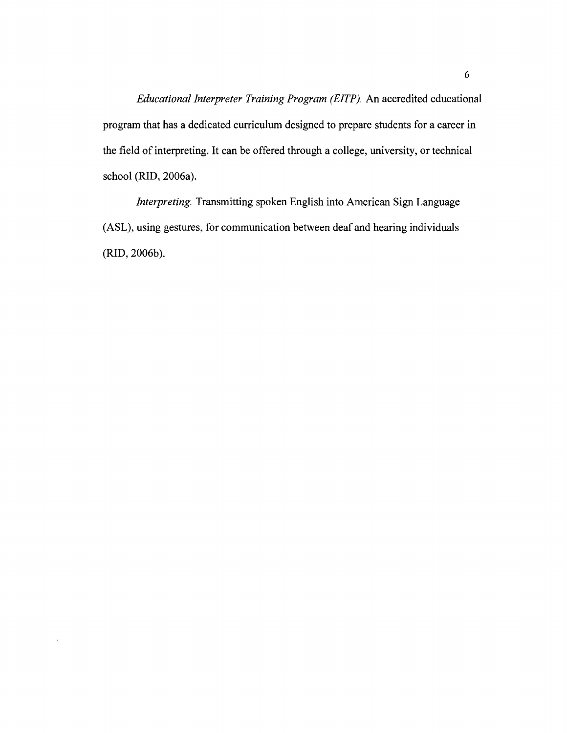*Educational Interpreter Training Program (EITP).* An accredited educational program that has a dedicated curriculum designed to prepare students for a career in the field of interpreting. It can be offered through a college, university, or technical school (RID, 2006a).

*Interpreting.* Transmitting spoken English into American Sign Language (ASL), using gestures, for communication between deaf and hearing individuals (RID,2006b).

 $\bar{t}$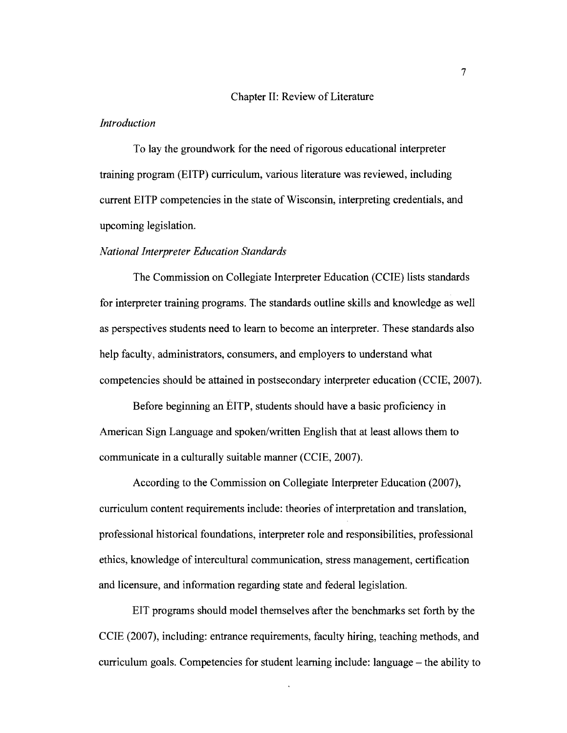#### Chapter II: Review of Literature

#### *Introduction*

To lay the groundwork for the need of rigorous educational interpreter training program (EITP) curriculum, various literature was reviewed, including current EITP competencies in the state of Wisconsin, interpreting credentials, and upcoming legislation.

#### *National Interpreter Education Standards*

The Commission on Collegiate Interpreter Education (CCIE) lists standards for interpreter training programs. The standards outline skills and knowledge as well as perspectives students need to learn to become an interpreter. These standards also help faculty, administrators, consumers, and employers to understand what competencies should be attained in postsecondary interpreter education (CCIE, 2007).

Before beginning an EITP, students should have a basic proficiency in American Sign Language and spoken/written English that at least allows them to communicate in a culturally suitable manner (CCIE, 2007).

According to the Commission on Collegiate Interpreter Education (2007), curriculum content requirements include: theories of interpretation and translation, professional historical foundations, interpreter role and responsibilities, professional ethics, knowledge of intercultural communication, stress management, certification and licensure, and information regarding state and federal legislation.

EIT programs should model themselves after the benchmarks set forth by the CCIE (2007), including: entrance requirements, faculty hiring, teaching methods, and curriculum goals. Competencies for student learning include: language  $-$  the ability to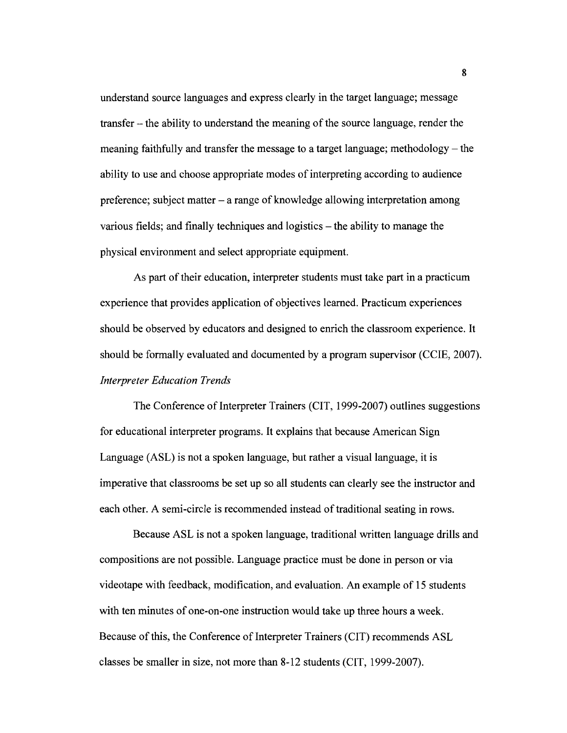understand source languages and express clearly in the target language; message transfer - the ability to understand the meaning of the source language, render the meaning faithfully and transfer the message to a target language; methodology  $-$  the ability to use and choose appropriate modes ofinterpreting according to audience preference; subject matter - a range of knowledge allowing interpretation among various fields; and finally techniques and logistics  $-$  the ability to manage the physical environment and select appropriate equipment.

As part of their education, interpreter students must take part in a practicum experience that provides application of objectives learned. Practicum experiences should be observed by educators and designed to enrich the classroom experience. It should be formally evaluated and documented by a program supervisor (CCIE, 2007). *Interpreter Education Trends* 

The Conference of Interpreter Trainers (CIT, 1999-2007) outlines suggestions for educational interpreter programs. It explains that because American Sign Language (ASL) is not a spoken language, but rather a visual language, it is imperative that classrooms be set up so all students can clearly see the instructor and each other. A semi-circle is recommended instead of traditional seating in rows.

Because ASL is not a spoken language, traditional written language drills and compositions are not possible. Language practice must be done in person or via videotape with feedback, modification, and evaluation. An example of 15 students with ten minutes of one-on-one instruction would take up three hours a week. Because of this, the Conference of Interpreter Trainers (CIT) recommends ASL classes be smaller in size, not more than 8-12 students (CIT, 1999-2007).

8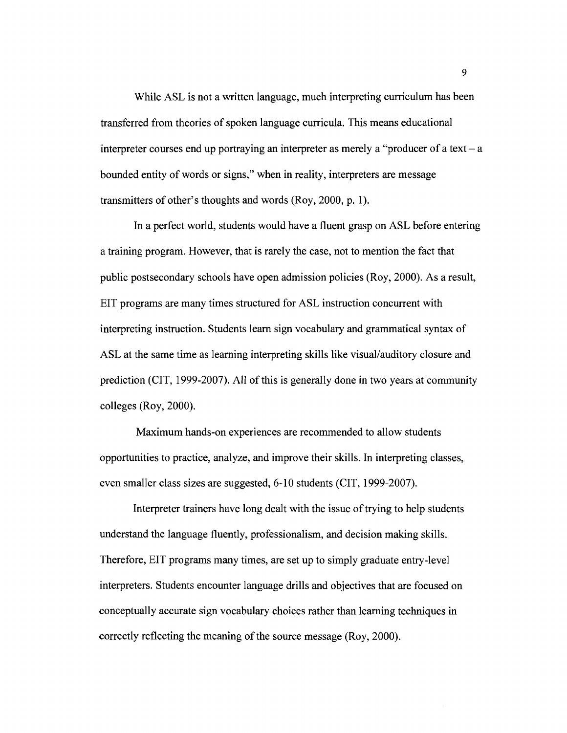While ASL is not a written language, much interpreting curriculum has been transferred from theories of spoken language curricula. This means educational interpreter courses end up portraying an interpreter as merely a "producer of a text  $-a$ bounded entity of words or signs," when in reality, interpreters are message transmitters of other's thoughts and words (Roy, 2000, p. 1).

In a perfect world, students would have a fluent grasp on ASL before entering a training program. However, that is rarely the case, not to mention the fact that public postsecondary schools have open admission policies (Roy, 2000). As a result, EIT programs are many times structured for ASL instruction concurrent with interpreting instruction. Students learn sign vocabulary and grammatical syntax of ASL at the same time as learning interpreting skills like visual/auditory closure and prediction (CIT, 1999-2007). All of this is generally done in two years at community colleges (Roy, 2000).

Maximum hands-on experiences are recommended to allow students opportunities to practice, analyze, and improve their skills. In interpreting classes, even smaller class sizes are suggested, 6-10 students (CIT, 1999-2007).

Interpreter trainers have long dealt with the issue of trying to help students understand the language fluently, professionalism, and decision making skills. Therefore, EIT programs many times, are set up to simply graduate entry-level interpreters. Students encounter language drills and objectives that are focused on conceptually accurate sign vocabulary choices rather than learning techniques in correctly reflecting the meaning of the source message (Roy, 2000).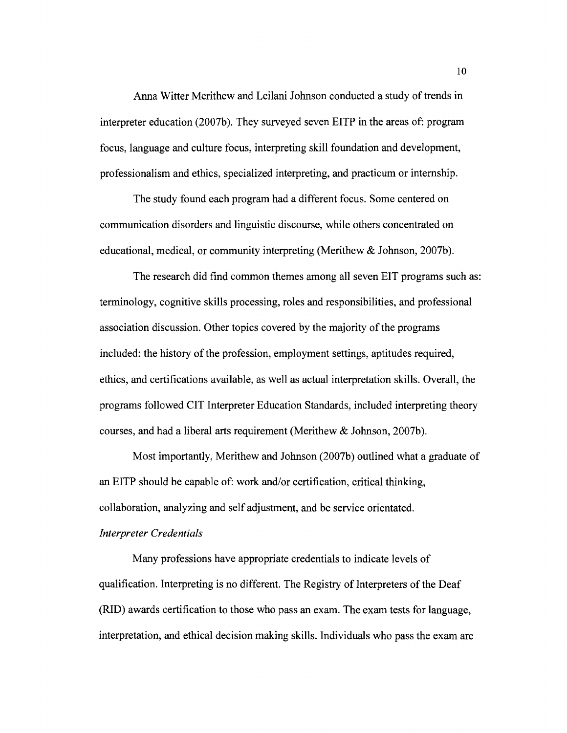Anna Witter Merithew and Leilani Johnson conducted a study of trends in interpreter education (2007b). They surveyed seven EITP in the areas of: program focus, language and culture focus, interpreting skill foundation and development, professionalism and ethics, specialized interpreting, and practicum or internship.

The study found each program had a different focus. Some centered on communication disorders and linguistic discourse, while others concentrated on educational, medical, or community interpreting (Merithew & Johnson, 2007b).

The research did find common themes among all seven EIT programs such as: terminology, cognitive skills processing, roles and responsibilities, and professional association discussion. Other topics covered by the majority of the programs included: the history of the profession, employment settings, aptitudes required, ethics, and certifications available, as well as actual interpretation skills. Overall, the programs followed CIT Interpreter Education Standards, included interpreting theory courses, and had a liberal arts requirement (Merithew & Johnson, 2007b).

Most importantly, Merithew and Johnson (2007b) outlined what a graduate of an EITP should be capable of: work and/or certification, critical thinking, collaboration, analyzing and self adjustment, and be service orientated. *Interpreter Credentials* 

Many professions have appropriate credentials to indicate levels of qualification. Interpreting is no different. The Registry of Interpreters of the Deaf (RID) awards certification to those who pass an exam. The exam tests for language, interpretation, and ethical decision making skills. Individuals who pass the exam are

10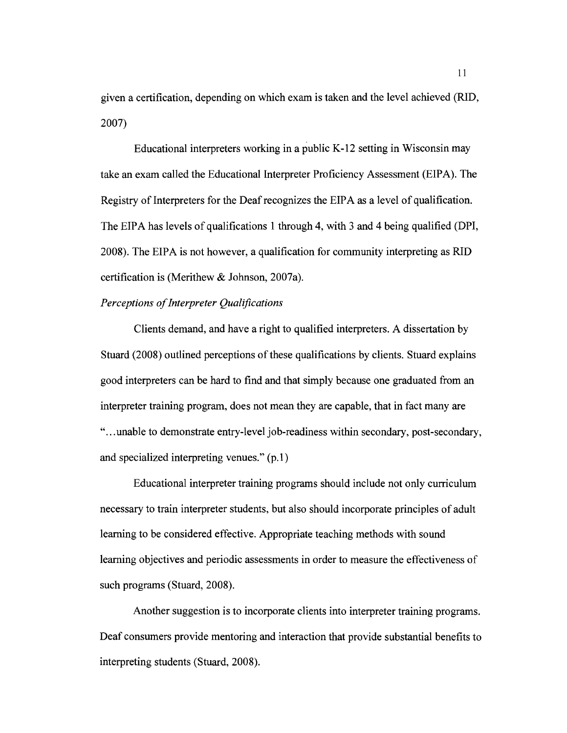given a certification, depending on which exam is taken and the level achieved (RID, 2007)

Educational interpreters working in a public K-12 setting in Wisconsin may take an exam called the Educational Interpreter Proficiency Assessment (EIPA). The Registry of Interpreters for the Deaf recognizes the EIPA as a level of qualification. The EIPA has levels of qualifications 1 through 4, with 3 and 4 being qualified (DPI, 2008). The EIPA is not however, a qualification for community interpreting as RID certification is (Merithew & Johnson, 2007a).

# **Perceptions of Interpreter Qualifications**

Clients demand, and have a right to qualified interpreters. A dissertation by Stuard (2008) outlined perceptions of these qualifications by clients. Stuard explains good interpreters can be hard to find and that simply because one graduated from an interpreter training program, does not mean they are capable, that in fact many are "...unable to demonstrate entry-level job-readiness within secondary, post-secondary, and specialized interpreting venues." (p.1)

Educational interpreter training programs should include not only curriculum necessary to train interpreter students, but also should incorporate principles of adult learning to be considered effective. Appropriate teaching methods with sound learning objectives and periodic assessments in order to measure the effectiveness of such programs (Stuard, 2008).

Another suggestion is to incorporate clients into interpreter training programs. Deaf consumers provide mentoring and interaction that provide substantial benefits to interpreting students (Stuard, 2008).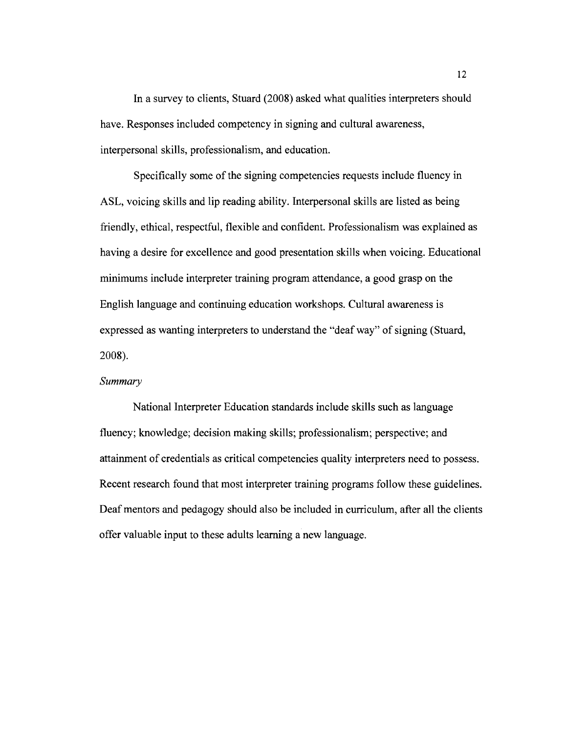In a survey to clients, Stuard (2008) asked what qualities interpreters should have. Responses included competency in signing and cultural awareness, interpersonal skills, professionalism, and education.

Specifically some of the signing competencies requests include fluency in ASL, voicing skills and lip reading ability. Interpersonal skills are listed as being friendly, ethical, respectful, flexible and confident. Professionalism was explained as having a desire for excellence and good presentation skills when voicing. Educational minimums include interpreter training program attendance, a good grasp on the English language and continuing education workshops. Cultural awareness is expressed as wanting interpreters to understand the "deaf way" of signing (Stuard, 2008).

# *Summary*

National Interpreter Education standards include skills such as language fluency; knowledge; decision making skills; professionalism; perspective; and attainment of credentials as critical competencies quality interpreters need to possess. Recent research found that most interpreter training programs follow these guidelines. Deaf mentors and pedagogy should also be included in curriculum, after all the clients offer valuable input to these adults learning a new language.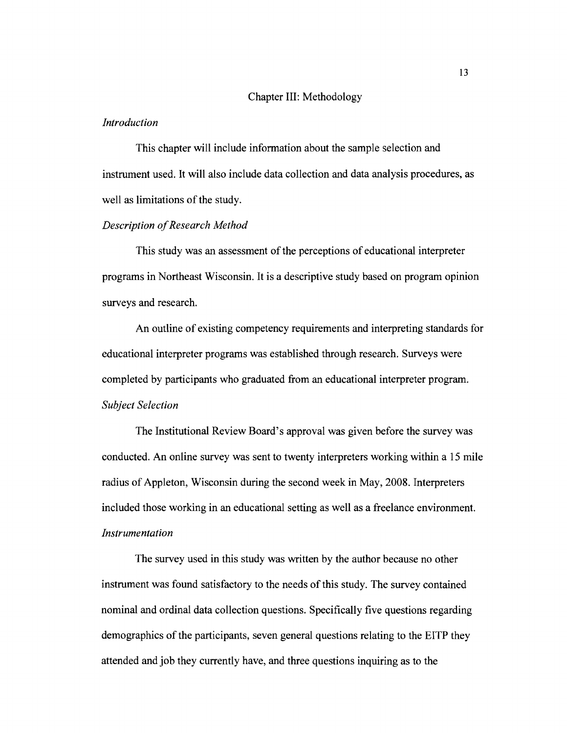#### Chapter III: Methodology

#### *Introduction*

This chapter will include information about the sample selection and instrument used. It will also include data collection and data analysis procedures, as well as limitations of the study.

### *Description of Research Method*

This study was an assessment of the perceptions of educational interpreter programs in Northeast Wisconsin. It is a descriptive study based on program opinion surveys and research.

An outline of existing competency requirements and interpreting standards for educational interpreter programs was established through research. Surveys were completed by participants who graduated from an educational interpreter program. *Subject Selection* 

The Institutional Review Board's approval was given before the survey was conducted. An online survey was sent to twenty interpreters working within a 15 mile radius of Appleton, Wisconsin during the second week in May, 2008. Interpreters included those working in an educational setting as well as a freelance environment. *Instrumentation* 

The survey used in this study was written by the author because no other instrument was found satisfactory to the needs of this study. The survey contained nominal and ordinal data collection questions. Specifically five questions regarding demographics of the participants, seven general questions relating to the EITP they attended and job they currently have, and three questions inquiring as to the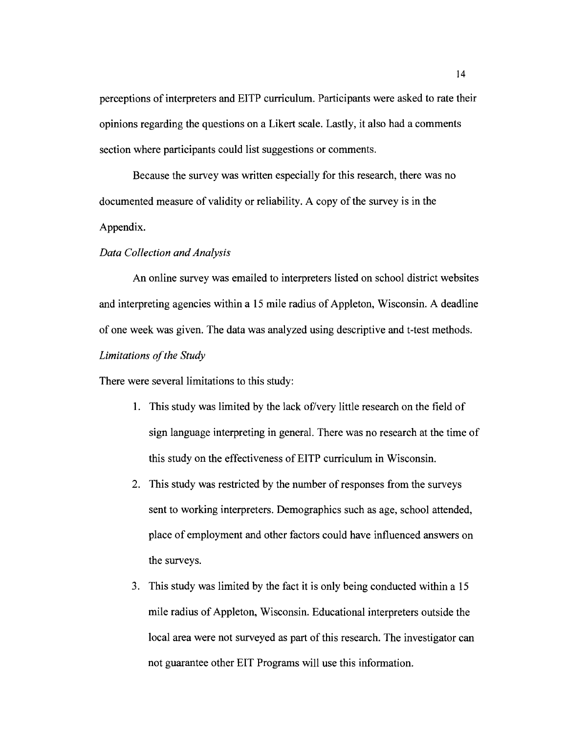perceptions of interpreters and EITP curriculum. Participants were asked to rate their opinions regarding the questions on a Likert scale. Lastly, it also had a comments section where participants could list suggestions or comments.

Because the survey was written especially for this research, there was no documented measure of validity or reliability. A copy of the survey is in the Appendix.

#### *Data Collection and Analysis*

An online survey was emailed to interpreters listed on school district websites and interpreting agencies within a 15 mile radius of Appleton, Wisconsin. A deadline of one week was given. The data was analyzed using descriptive and t-test methods. Limitations of the Study

There were several limitations to this study:

- 1. This study was limited by the lack of/very little research on the field of sign language interpreting in general. There was no research at the time of this study on the effectiveness ofEITP curriculum in Wisconsin.
- 2. This study was restricted by the number of responses from the surveys sent to working interpreters. Demographics such as age, school attended, place of employment and other factors could have influenced answers on the surveys.
- 3. This study was limited by the fact it is only being conducted within a 15 mile radius of Appleton, Wisconsin. Educational interpreters outside the local area were not surveyed as part of this research. The investigator can not guarantee other EIT Programs will use this information.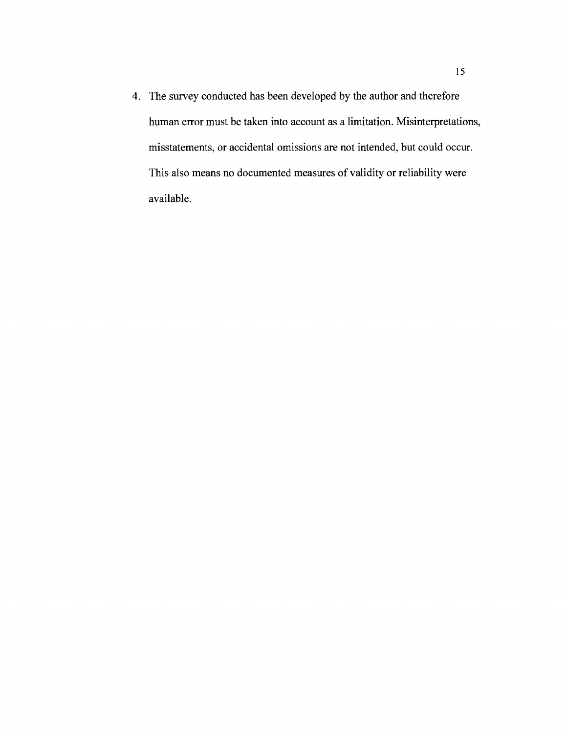4. The survey conducted has been developed by the author and therefore human error must be taken into account as a limitation. Misinterpretations, misstatements, or accidental omissions are not intended, but could occur. This also means no documented measures of validity or reliability were available.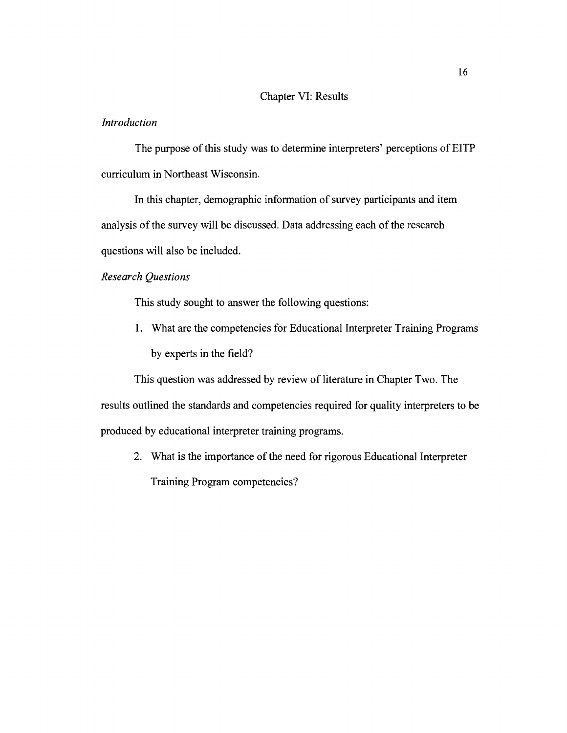# Chapter VI: Results

# *Introduction*

The purpose of this study was to determine interpreters' perceptions of EITP curriculum in Northeast Wisconsin.

In this chapter, demographic information of survey participants and item analysis of the survey will be discussed. Data addressing each of the research questions will also be included.

# *Research Questions*

This study sought to answer the following questions:

1. What are the competencies for Educational Interpreter Training Programs by experts in the field?

This question was addressed by review of literature in Chapter Two. The results outlined the standards and competencies required for quality interpreters to be produced by educational interpreter training programs.

2. What is the importance of the need for rigorous Educational Interpreter Training Program competencies?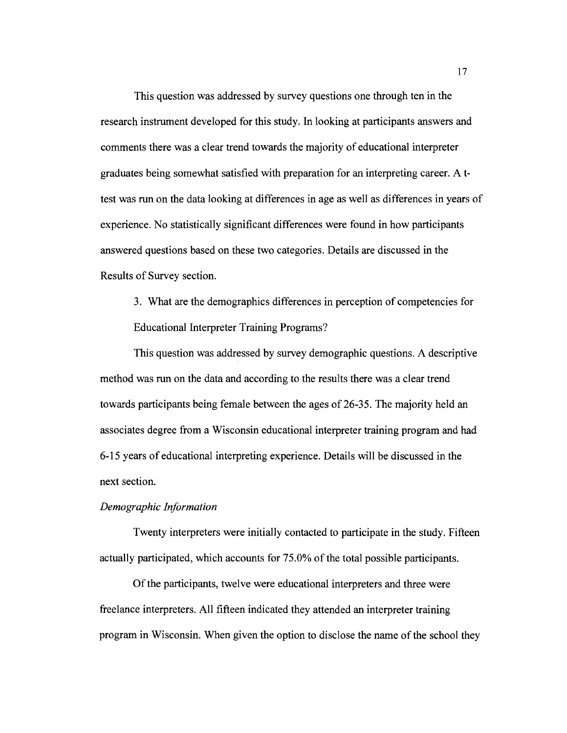This question was addressed by survey questions one through ten in the research instrument developed for this study. In looking at participants answers and comments there was a clear trend towards the majority of educational interpreter graduates being somewhat satisfied with preparation for an interpreting career. A ttest was run on the data looking at differences in age as well as differences in years of experience. No statistically significant differences were found in how participants answered questions based on these two categories. Details are discussed in the Results of Survey section.

3. What are the demographics differences in perception of competencies for Educational Interpreter Training Programs?

This question was addressed by survey demographic questions. A descriptive method was run on the data and according to the results there was a clear trend towards participants being female between the ages of 26-35. The majority held an associates degree from a Wisconsin educational interpreter training program and had 6-15 years of educational interpreting experience. Details will be discussed in the next section.

#### *Demographic Information*

Twenty interpreters were initially contacted to participate in the study. Fifteen actually participated, which accounts for 75.0% of the total possible participants.

Of the participants, twelve were educational interpreters and three were freelance interpreters. All fifteen indicated they attended an interpreter training program in Wisconsin. When given the option to disclose the name of the school they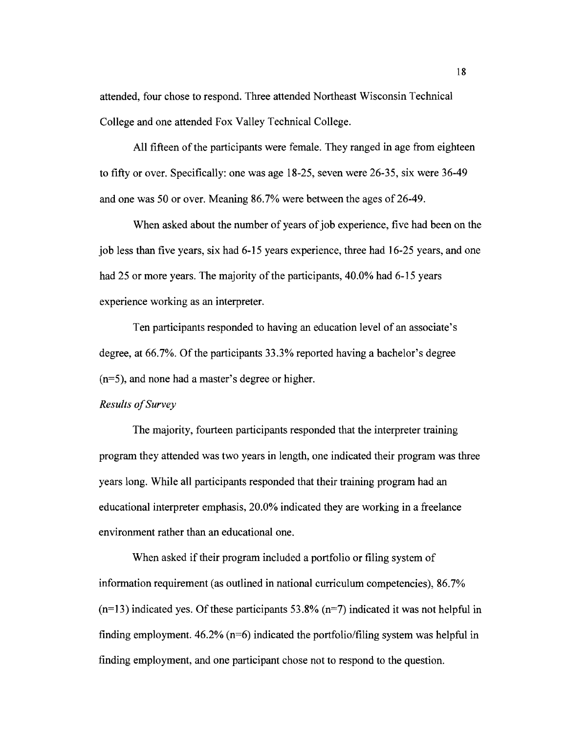attended, four chose to respond. Three attended Northeast Wisconsin Technical College and one attended Fox Valley Technical College.

All fifteen of the participants were female. They ranged in age from eighteen to fifty or over. Specifically: one was age 18-25, seven were 26-35, six were 36-49 and one was 50 or over. Meaning 86.7% were between the ages of 26-49.

When asked about the number of years of job experience, five had been on the job less than five years, six had 6-15 years experience, three had 16-25 years, and one had 25 or more years. The majority of the participants, 40.0% had 6-15 years experience working as an interpreter.

Ten participants responded to having an education level of an associate's degree, at 66.7%. Of the participants 33.3% reported having a bachelor's degree (n=5), and none had a master's degree or higher.

#### *Results o/Survey*

The majority, fourteen participants responded that the interpreter training program they attended was two years in length, one indicated their program was three years long. While all participants responded that their training program had an educational interpreter emphasis, 20.0% indicated they are working in a freelance environment rather than an educational one.

When asked if their program included a portfolio or filing system of information requirement (as outlined in national curriculum competencies), 86.7%  $(n=13)$  indicated yes. Of these participants 53.8%  $(n=7)$  indicated it was not helpful in finding employment.  $46.2\%$  (n=6) indicated the portfolio/filing system was helpful in finding employment, and one participant chose not to respond to the question.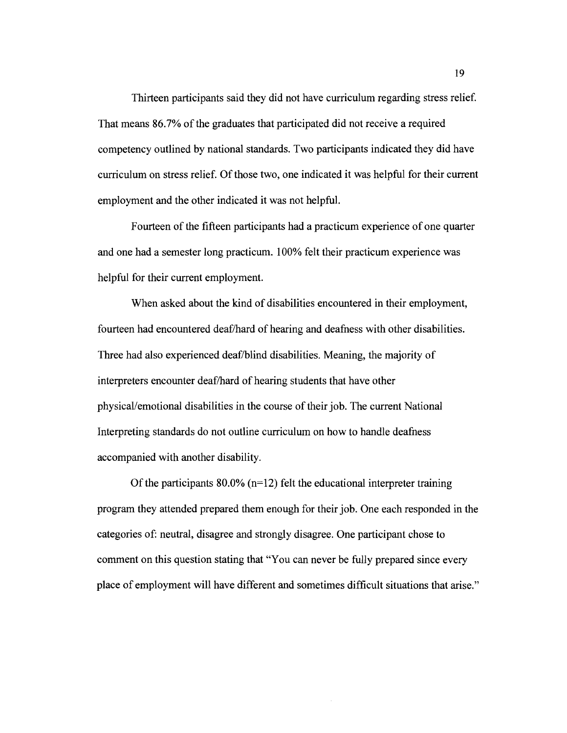Thirteen participants said they did not have curriculum regarding stress relief. That means 86.7% of the graduates that participated did not receive a required competency outlined by national standards. Two participants indicated they did have curriculum on stress relief. Of those two, one indicated it was helpful for their current employment and the other indicated it was not helpful.

Fourteen of the fifteen participants had a practicum experience of one quarter and one had a semester long practicum. 100% felt their practicum experience was helpful for their current employment.

When asked about the kind of disabilities encountered in their employment, fourteen had encountered deaf/hard of hearing and deafness with other disabilities. Three had also experienced deaf/blind disabilities. Meaning, the majority of interpreters encounter deaf/hard of hearing students that have other physical/emotional disabilities in the course of their job. The current National Interpreting standards do not outline curriculum on how to handle deafness accompanied with another disability.

Of the participants  $80.0\%$  (n=12) felt the educational interpreter training program they attended prepared them enough for their job. One each responded in the categories of: neutral, disagree and strongly disagree. One participant chose to comment on this question stating that "You can never be fully prepared since every place of employment will have different and sometimes difficult situations that arise."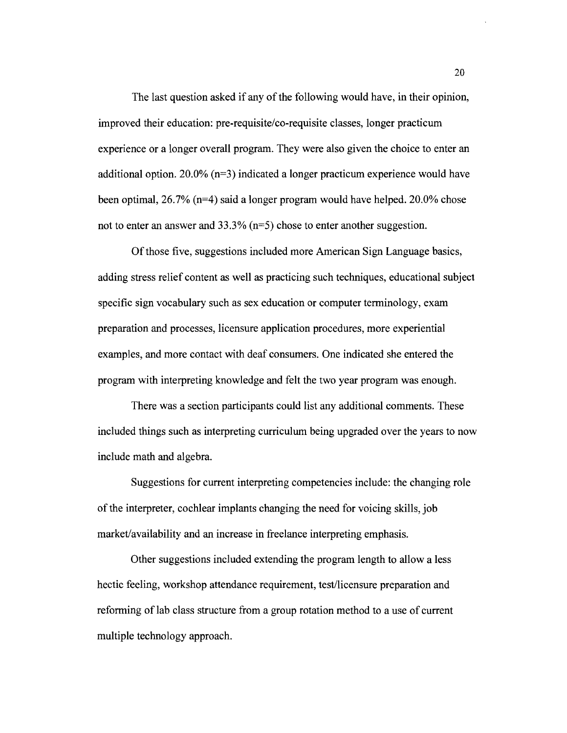The last question asked if any of the following would have, in their opinion, improved their education: pre-requisite/co-requisite classes, longer practicum experience or a longer overall program. They were also given the choice to enter an additional option. 20.0% ( $n=3$ ) indicated a longer practicum experience would have been optimal, 26.7% (n=4) said a longer program would have helped. 20.0% chose not to enter an answer and 33.3% (n=5) chose to enter another suggestion.

Of those five, suggestions included more American Sign Language basics, adding stress relief content as well as practicing such techniques, educational subject specific sign vocabulary such as sex education or computer terminology, exam preparation and processes, licensure application procedures, more experiential examples, and more contact with deaf consumers. One indicated she entered the program with interpreting knowledge and felt the two year program was enough.

There was a section participants could list any additional comments. These included things such as interpreting curriculum being upgraded over the years to now include math and algebra.

Suggestions for current interpreting competencies include: the changing role of the interpreter, cochlear implants changing the need for voicing skills, job market/availability and an increase in freelance interpreting emphasis.

Other suggestions included extending the program length to allow a less hectic feeling, workshop attendance requirement, test/licensure preparation and refonning of lab class structure from a group rotation method to a use of current multiple technology approach.

20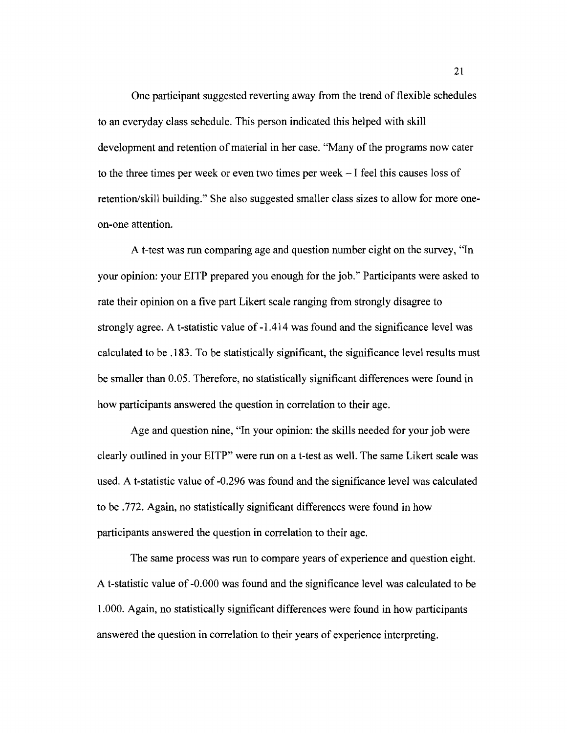One participant suggested reverting away from the trend of flexible schedules to an everyday class schedule. This person indicated this helped with skill development and retention of material in her case. "Many of the programs now cater to the three times per week or even two times per week - I feel this causes loss of retention/skill building." She also suggested smaller class sizes to allow for more oneon-one attention.

A t-test was run comparing age and question number eight on the survey, "In your opinion: your EITP prepared you enough for the job." Participants were asked to rate their opinion on a five part Likert scale ranging from strongly disagree to strongly agree. A t-statistic value of -1.414 was found and the significance level was calculated to be .183. To be statistically significant, the significance level results must be smaller than 0.05. Therefore, no statistically significant differences were found in how participants answered the question in correlation to their age.

Age and question nine, "In your opinion: the skills needed for your job were clearly outlined in your EITP" were run on a t-test as well. The same Likert scale was used. A t-statistic value of -0.296 was found and the significance level was calculated to be .772. Again, no statistically significant differences were found in how participants answered the question in correlation to their age.

The same process was run to compare years of experience and question eight. A t-statistic value of -0.000 was found and the significance level was calculated to be 1.000. Again, no statistically significant differences were found in how participants answered the question in correlation to their years of experience interpreting.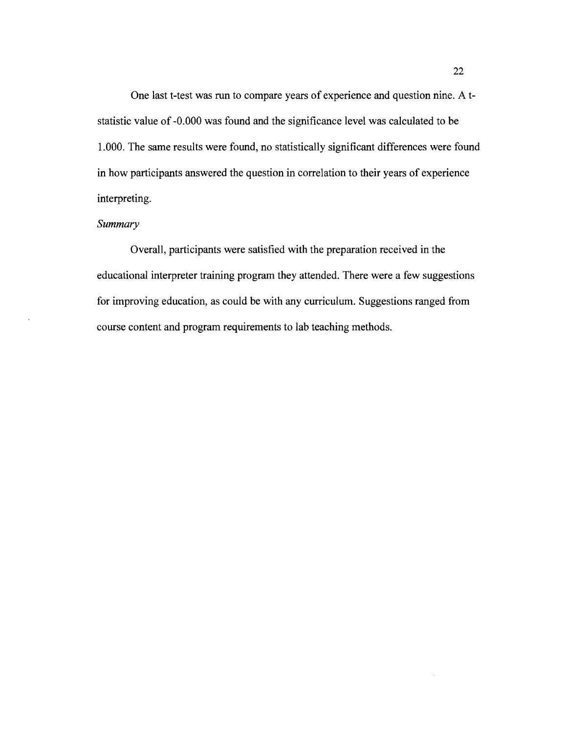One last t-test was run to compare years of experience and question nine. A tstatistic value of -0.000 was found and the significance level was calculated to be 1.000. The same results were found, no statistically significant differences were found in how participants answered the question in correlation to their years of experience interpreting.

# *Summary*

÷,

Overall, participants were satisfied with the preparation received in the educational interpreter training program they attended. There were a few suggestions for improving education, as could be with any curriculum. Suggestions ranged from course content and program requirements to lab teaching methods.

 $\hat{\mathcal{L}}$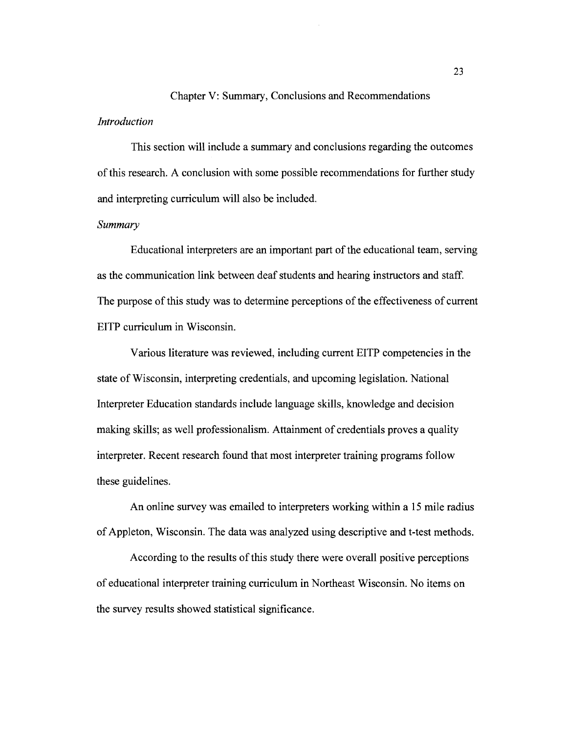# Chapter V: Summary, Conclusions and Recommendations *Introduction*

This section will include a summary and conclusions regarding the outcomes ofthis research. A conclusion with some possible recommendations for further study and interpreting curriculum will also be included.

# *Summary*

Educational interpreters are an important part of the educational team, serving as the communication link between deaf students and hearing instructors and staff. The purpose of this study was to determine perceptions of the effectiveness of current EITP curriculum in Wisconsin.

Various literature was reviewed, including current EITP competencies in the state of Wisconsin, interpreting credentials, and upcoming legislation. National Interpreter Education standards include language skills, knowledge and decision making skills; as well professionalism. Attainment of credentials proves a quality interpreter. Recent research found that most interpreter training programs follow these guidelines.

An online survey was emailed to interpreters working within a 15 mile radius of Appleton, Wisconsin. The data was analyzed using descriptive and t-test methods.

According to the results of this study there were overall positive perceptions of educational interpreter training curriculum in Northeast Wisconsin. No items on the survey results showed statistical significance.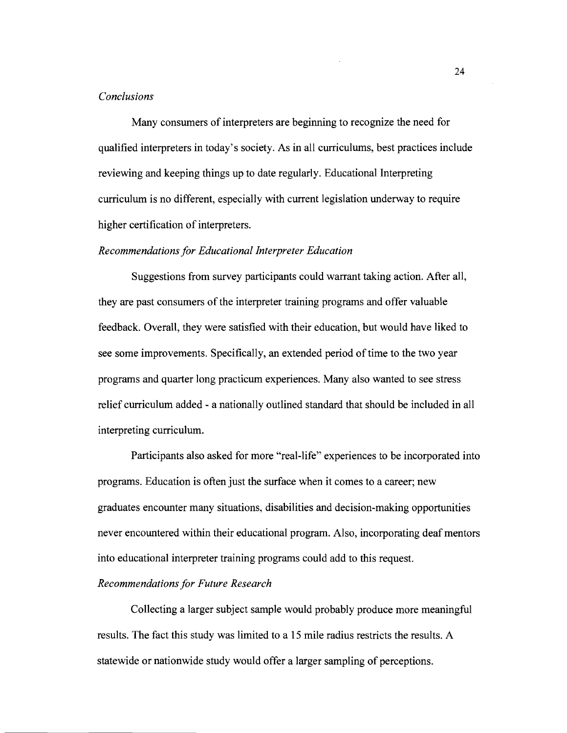#### *Conclusions*

Many consumers of interpreters are beginning to recognize the need for qualified interpreters in today's society. As in all curriculums, best practices include reviewing and keeping things up to date regularly. Educational Interpreting curriculum is no different, especially with current legislation underway to require higher certification of interpreters.

#### *Recommendations for Educational Interpreter Education*

Suggestions from survey participants could warrant taking action. After all, they are past consumers of the interpreter training programs and offer valuable feedback. Overall, they were satisfied with their education, but would have liked to see some improvements. Specifically, an extended period of time to the two year programs and quarter long practicum experiences. Many also wanted to see stress relief curriculum added - a nationally outlined standard that should be included in all interpreting curriculum.

Participants also asked for more "real-life" experiences to be incorporated into programs. Education is often just the surface when it comes to a career; new graduates encounter many situations, disabilities and decision-making opportunities never encountered within their educational program. Also, incorporating deaf mentors into educational interpreter training programs could add to this request.

#### *Recommendations for Future Research*

Collecting a larger subject sample would probably produce more meaningful results. The fact this study was limited to a 15 mile radius restricts the results. A statewide or nationwide study would offer a larger sampling of perceptions.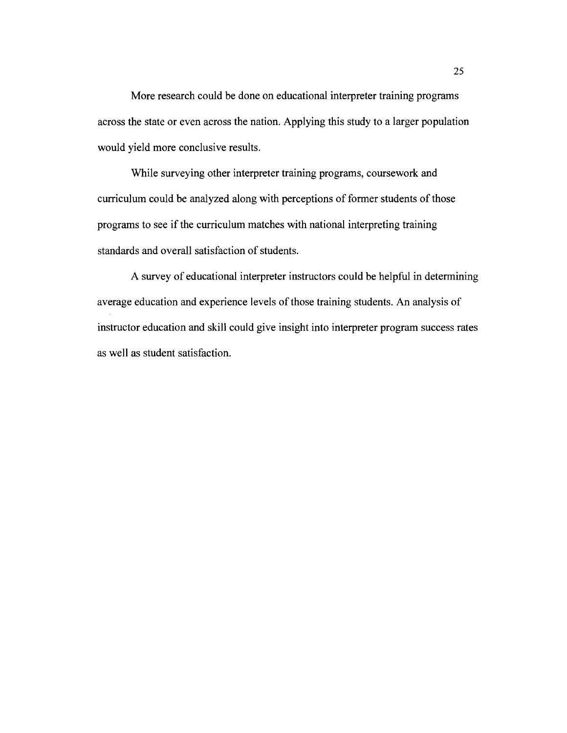More research could be done on educational interpreter training programs across the state or even across the nation. Applying this study to a larger population would yield more conclusive results.

While surveying other interpreter training programs, coursework and curriculum could be analyzed along with perceptions of former students of those programs to see if the curriculum matches with national interpreting training standards and overall satisfaction of students.

A survey of educational interpreter instructors could be helpful in determining average education and experience levels of those training students. An analysis of instructor education and skill could give insight into interpreter program success rates as well as student satisfaction.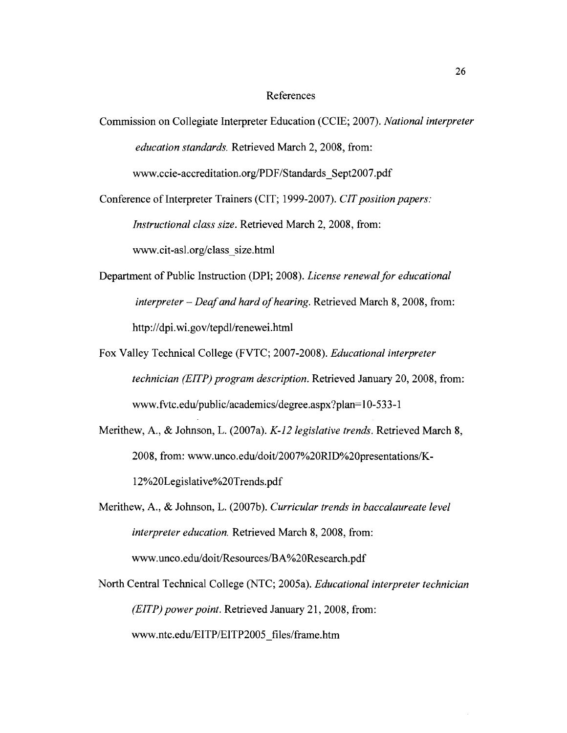#### References

Commission on Collegiate Interpreter Education (CCIE; 2007). *National interpreter education standards.* Retrieved March 2, 2008, from: www.ccie-accreditation.org/PDF/Standards\_Sept2007.pdf

Conference of Interpreter Trainers (CIT; 1999-2007). *CIT position papers:* 

*Instructional class size.* Retrieved March 2, 2008, from:

www.cit-asl.org/c1ass\_size.html

- Department of Public Instruction (DPI; 2008). *License renewal for educational*  interpreter - *Deaf and hard of hearing.* Retrieved March 8, 2008, from: http://dpi.wi.gov/tepdl/renewei.html
- Fox Valley Technical College (FVTC; 2007-2008). *Educational interpreter technician (EITP) program description.* Retrieved January 20, 2008, from: www.fvtc.edu/public/academics/degree.aspx?plan=l 0-533-1
- Merithew, A., & Johnson, L. (2007a). *K-12 legislative trends.* Retrieved March 8, 2008, from: www.unco.edu/doit/2007%20RID%20presentations/K-12%20Legislative%20Trends.pdf
- Merithew, A., & Johnson, L. (2007b). *Curricular trends in baccalaureate level interpreter education.* Retrieved March 8, 2008, from: www.unco.edu/doit/Resources/BA%20Research.pdf
- North Central Technical College (NTC; 2005a). *Educational interpreter technician (EITP) power point.* Retrieved January 21, 2008, from: www.ntc.edu/EITP/EITP2005\_files/frame.htm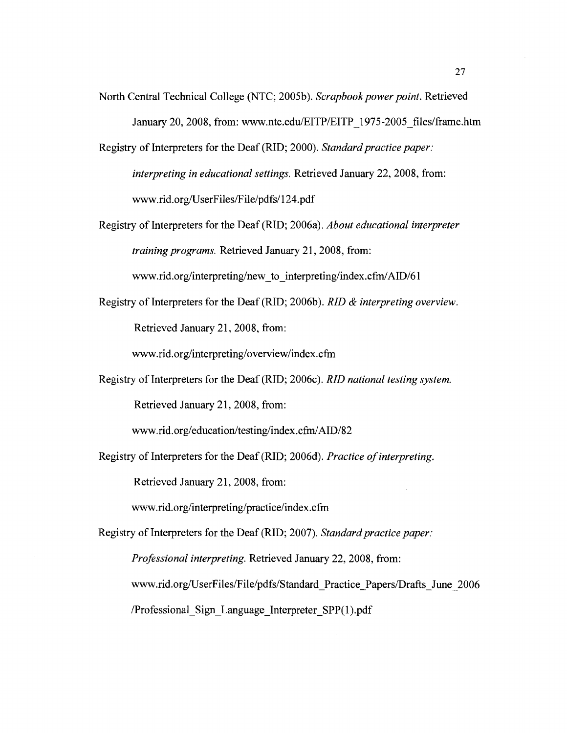- North Central Technical College (NTC; 2005b). *Scrapbook power point.* Retrieved January 20,2008, from: www.ntc.edu/EITP/EITP\_1975-2005\_files/frame.htm
- Registry of Interpreters for the Deaf (RID; 2000). *Standard practice paper: interpreting in educational settings.* Retrieved January 22, 2008, from: www.rid.org/UserFiles/File/pdfs/124.pdf
- Registry of Interpreters for the Deaf (RID; 2006a). *About educational interpreter training programs.* Retrieved January 21, 2008, from:

www.rid.org/interpreting/new to interpreting/index.cfm/AID/61

Registry of Interpreters for the Deaf (RID; 2006b). *RID* & *interpreting overview.*  Retrieved January 21, 2008, from:

www.rid.org/interpreting/overview/index.cfm

Registry of Interpreters for the Deaf (RID; 2006c). *RID national testing system.*  Retrieved January 21, 2008, from:

www.rid.org/education/testing/index.cfm/AID/82

Registry of Interpreters for the Deaf (RID; 2006d). *Practice ofinterpreting.* 

Retrieved January 21, 2008, from:

www.rid.org/interpreting/practice/index.cfm

Registry of Interpreters for the Deaf (RID; 2007). *Standard practice paper:* 

*Professional interpreting.* Retrieved January 22, 2008, from:

www.rid.org/UserFiles/File/pdfs/Standard\_Practice\_Papers/Drafts\_June\_2006

/Professional\_Sign\_Language\_Interpreter\_SPP(1).pdf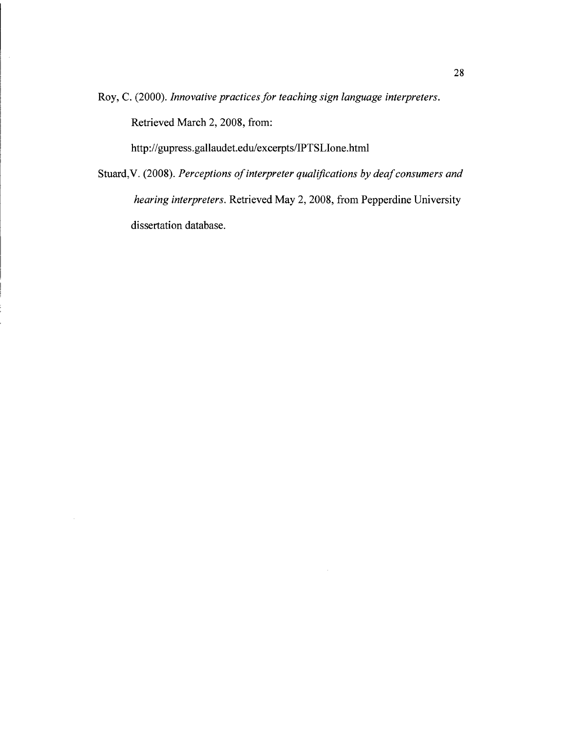Roy, C. (2000). *Innovative practices for teaching sign language interpreters.* 

Retrieved March 2, 2008, from:

 $\mathcal{L}_{\mathcal{A}}$ 

http://gupress.gallaudet.edulexcerpts/IPTSLIone.html

Stuard, V. (2008). *Perceptions of interpreter qualifications by deaf consumers and hearing interpreters.* Retrieved May 2,2008, from Pepperdine University dissertation database.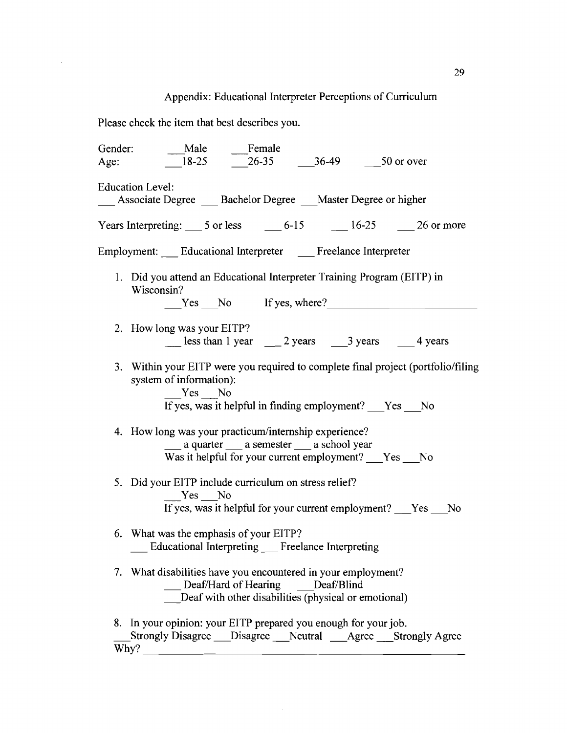# Appendix: Educational Interpreter Perceptions of Curriculum

Please check the item that best describes you.

 $\ddot{\phantom{a}}$ 

| Gender: | Male Female                                                                                                                                                                     |
|---------|---------------------------------------------------------------------------------------------------------------------------------------------------------------------------------|
| Age:    | 18-25 26-35 36-49 50 or over                                                                                                                                                    |
|         | <b>Education Level:</b><br>__ Associate Degree __ Bachelor Degree __ Master Degree or higher                                                                                    |
|         | Years Interpreting: $\frac{5 \text{ or less}}{25 \text{ or } 5}$ $\frac{6-15}{25}$ $\frac{16-25}{25}$ $\frac{26 \text{ or more}}{25}$                                           |
|         | Employment: __ Educational Interpreter __ Freelance Interpreter                                                                                                                 |
|         | 1. Did you attend an Educational Interpreter Training Program (EITP) in<br>Wisconsin?<br>$Yes$ No If yes, where?                                                                |
|         | 2. How long was your EITP?<br>Less than 1 year 2 years 3 years 4 years                                                                                                          |
|         | 3. Within your EITP were you required to complete final project (portfolio/filing<br>system of information):<br>Yes No<br>If yes, was it helpful in finding employment?  Yes No |
|         | 4. How long was your practicum/internship experience?<br>____ a quarter ____ a semester ____ a school year<br>Was it helpful for your current employment? ___Yes ___No          |
|         | 5. Did your EITP include curriculum on stress relief?<br>Yes No<br>If yes, was it helpful for your current employment? Yes No                                                   |
|         | 6. What was the emphasis of your EITP?<br><b>Educational Interpreting Freelance Interpreting</b>                                                                                |
|         | 7. What disabilities have you encountered in your employment?<br>Deaf/Hard of Hearing Deaf/Blind<br>Deaf with other disabilities (physical or emotional)                        |
| Why?    | 8. In your opinion: your EITP prepared you enough for your job.<br>Strongly Disagree ___ Disagree ___ Neutral ____ Agree ___ Strongly Agree                                     |